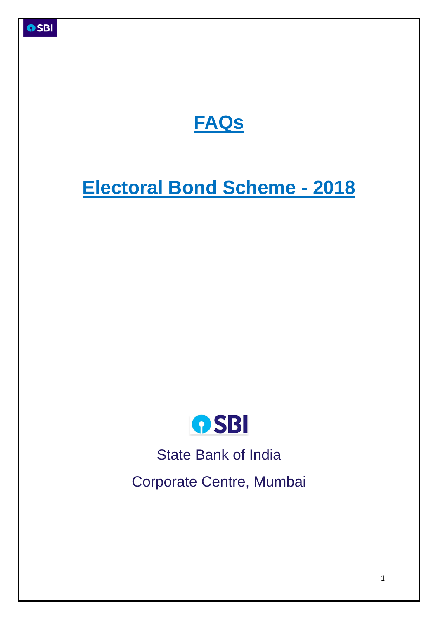



# **Electoral Bond Scheme - 2018**



State Bank of India

Corporate Centre, Mumbai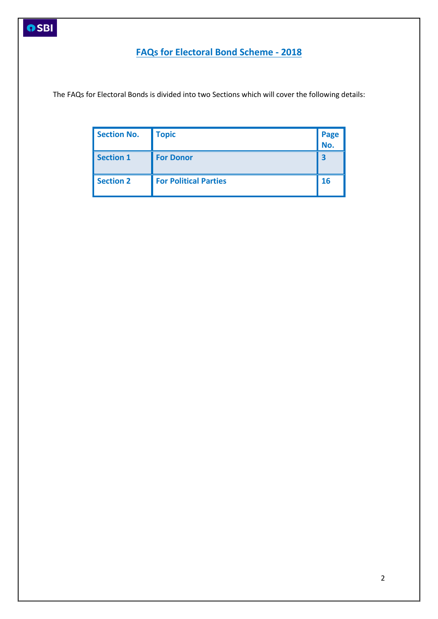## **FAQs for Electoral Bond Scheme - 2018**

The FAQs for Electoral Bonds is divided into two Sections which will cover the following details:

| Section No.      | <b>Topic</b>                 | Page<br>No. |
|------------------|------------------------------|-------------|
| <b>Section 1</b> | <b>For Donor</b>             |             |
| <b>Section 2</b> | <b>For Political Parties</b> | <b>16</b>   |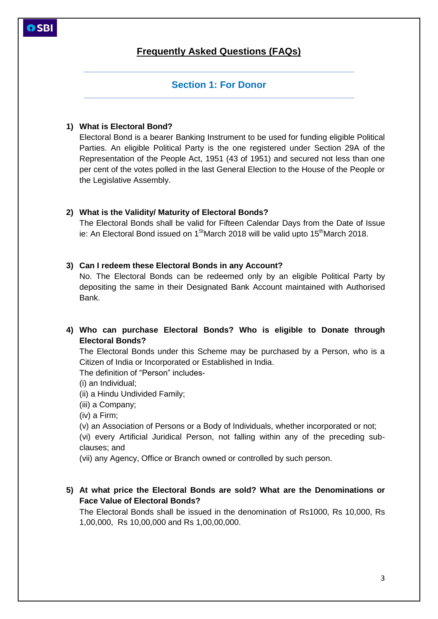

## **Frequently Asked Questions (FAQs)**

## **Section 1: For Donor**

#### **1) What is Electoral Bond?**

Electoral Bond is a bearer Banking Instrument to be used for funding eligible Political Parties. An eligible Political Party is the one registered under Section 29A of the Representation of the People Act, 1951 (43 of 1951) and secured not less than one per cent of the votes polled in the last General Election to the House of the People or the Legislative Assembly.

#### **2) What is the Validity/ Maturity of Electoral Bonds?**

The Electoral Bonds shall be valid for Fifteen Calendar Days from the Date of Issue ie: An Electoral Bond issued on  $1<sup>St</sup>$ March 2018 will be valid upto  $15<sup>th</sup>$ March 2018.

#### **3) Can I redeem these Electoral Bonds in any Account?**

No. The Electoral Bonds can be redeemed only by an eligible Political Party by depositing the same in their Designated Bank Account maintained with Authorised Bank.

## **4) Who can purchase Electoral Bonds? Who is eligible to Donate through Electoral Bonds?**

The Electoral Bonds under this Scheme may be purchased by a Person, who is a Citizen of India or Incorporated or Established in India.

The definition of "Person" includes-

(i) an Individual;

(ii) a Hindu Undivided Family;

(iii) a Company;

(iv) a Firm;

(v) an Association of Persons or a Body of Individuals, whether incorporated or not;

(vi) every Artificial Juridical Person, not falling within any of the preceding subclauses; and

(vii) any Agency, Office or Branch owned or controlled by such person.

#### **5) At what price the Electoral Bonds are sold? What are the Denominations or Face Value of Electoral Bonds?**

The Electoral Bonds shall be issued in the denomination of Rs1000, Rs 10,000, Rs 1,00,000, Rs 10,00,000 and Rs 1,00,00,000.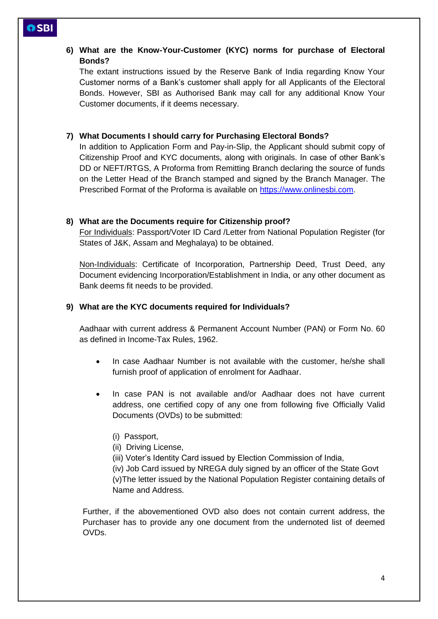## **6) What are the Know-Your-Customer (KYC) norms for purchase of Electoral Bonds?**

The extant instructions issued by the Reserve Bank of India regarding Know Your Customer norms of a Bank's customer shall apply for all Applicants of the Electoral Bonds. However, SBI as Authorised Bank may call for any additional Know Your Customer documents, if it deems necessary.

### **7) What Documents I should carry for Purchasing Electoral Bonds?**

In addition to Application Form and Pay-in-Slip, the Applicant should submit copy of Citizenship Proof and KYC documents, along with originals. In case of other Bank's DD or NEFT/RTGS, A Proforma from Remitting Branch declaring the source of funds on the Letter Head of the Branch stamped and signed by the Branch Manager. The Prescribed Format of the Proforma is available on [https://www.onlinesbi.com.](https://www.onlinesbi.com/)

#### **8) What are the Documents require for Citizenship proof?**

For Individuals: Passport/Voter ID Card /Letter from National Population Register (for States of J&K, Assam and Meghalaya) to be obtained.

Non-Individuals: Certificate of Incorporation, Partnership Deed, Trust Deed, any Document evidencing Incorporation/Establishment in India, or any other document as Bank deems fit needs to be provided.

#### **9) What are the KYC documents required for Individuals?**

Aadhaar with current address & Permanent Account Number (PAN) or Form No. 60 as defined in Income-Tax Rules, 1962.

- In case Aadhaar Number is not available with the customer, he/she shall furnish proof of application of enrolment for Aadhaar.
- In case PAN is not available and/or Aadhaar does not have current address, one certified copy of any one from following five Officially Valid Documents (OVDs) to be submitted:
	- (i) Passport,
	- (ii) Driving License,
	- (iii) Voter's Identity Card issued by Election Commission of India,

(iv) Job Card issued by NREGA duly signed by an officer of the State Govt (v)The letter issued by the National Population Register containing details of Name and Address.

Further, if the abovementioned OVD also does not contain current address, the Purchaser has to provide any one document from the undernoted list of deemed OVDs.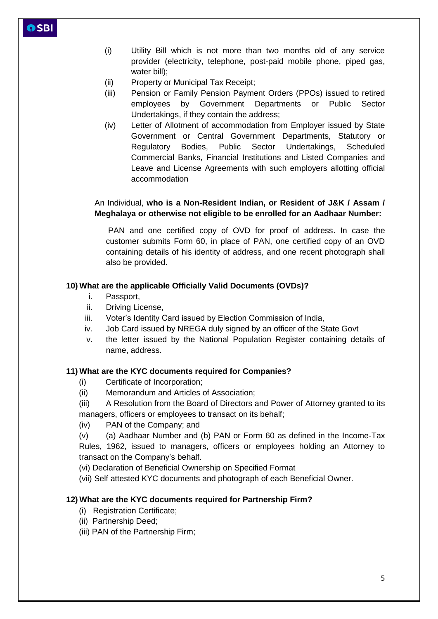- (i) Utility Bill which is not more than two months old of any service provider (electricity, telephone, post-paid mobile phone, piped gas, water bill);
- (ii) Property or Municipal Tax Receipt;
- (iii) Pension or Family Pension Payment Orders (PPOs) issued to retired employees by Government Departments or Public Sector Undertakings, if they contain the address;
- (iv) Letter of Allotment of accommodation from Employer issued by State Government or Central Government Departments, Statutory or Regulatory Bodies, Public Sector Undertakings, Scheduled Commercial Banks, Financial Institutions and Listed Companies and Leave and License Agreements with such employers allotting official accommodation

## An Individual, **who is a Non-Resident Indian, or Resident of J&K / Assam / Meghalaya or otherwise not eligible to be enrolled for an Aadhaar Number:**

PAN and one certified copy of OVD for proof of address. In case the customer submits Form 60, in place of PAN, one certified copy of an OVD containing details of his identity of address, and one recent photograph shall also be provided.

### **10) What are the applicable Officially Valid Documents (OVDs)?**

- i. Passport,
- ii. Driving License,
- iii. Voter's Identity Card issued by Election Commission of India,
- iv. Job Card issued by NREGA duly signed by an officer of the State Govt
- v. the letter issued by the National Population Register containing details of name, address.

#### **11) What are the KYC documents required for Companies?**

- (i) Certificate of Incorporation;
- (ii) Memorandum and Articles of Association;
- (iii) A Resolution from the Board of Directors and Power of Attorney granted to its managers, officers or employees to transact on its behalf;
- (iv) PAN of the Company; and

(v) (a) Aadhaar Number and (b) PAN or Form 60 as defined in the Income-Tax Rules, 1962, issued to managers, officers or employees holding an Attorney to transact on the Company's behalf.

(vi) Declaration of Beneficial Ownership on Specified Format

(vii) Self attested KYC documents and photograph of each Beneficial Owner.

#### **12) What are the KYC documents required for Partnership Firm?**

- (i) Registration Certificate;
- (ii) Partnership Deed;
- (iii) PAN of the Partnership Firm;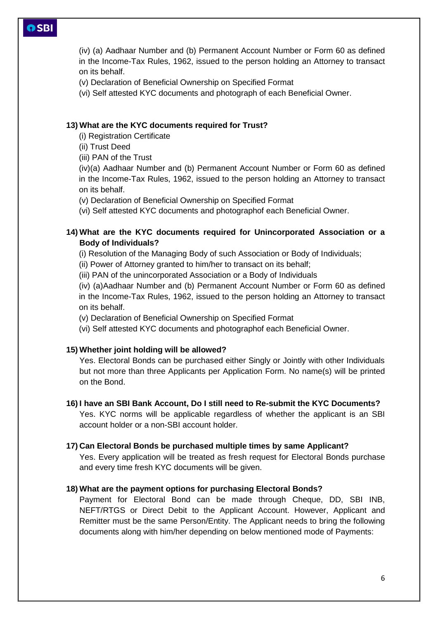(iv) (a) Aadhaar Number and (b) Permanent Account Number or Form 60 as defined in the Income-Tax Rules, 1962, issued to the person holding an Attorney to transact on its behalf.

(v) Declaration of Beneficial Ownership on Specified Format

(vi) Self attested KYC documents and photograph of each Beneficial Owner.

#### **13) What are the KYC documents required for Trust?**

- (i) Registration Certificate
- (ii) Trust Deed
- (iii) PAN of the Trust

(iv)(a) Aadhaar Number and (b) Permanent Account Number or Form 60 as defined in the Income-Tax Rules, 1962, issued to the person holding an Attorney to transact on its behalf.

(v) Declaration of Beneficial Ownership on Specified Format

(vi) Self attested KYC documents and photographof each Beneficial Owner.

#### **14) What are the KYC documents required for Unincorporated Association or a Body of Individuals?**

(i) Resolution of the Managing Body of such Association or Body of Individuals;

- (ii) Power of Attorney granted to him/her to transact on its behalf;
- (iii) PAN of the unincorporated Association or a Body of Individuals

(iv) (a)Aadhaar Number and (b) Permanent Account Number or Form 60 as defined in the Income-Tax Rules, 1962, issued to the person holding an Attorney to transact on its behalf.

- (v) Declaration of Beneficial Ownership on Specified Format
- (vi) Self attested KYC documents and photographof each Beneficial Owner.

#### **15) Whether joint holding will be allowed?**

Yes. Electoral Bonds can be purchased either Singly or Jointly with other Individuals but not more than three Applicants per Application Form. No name(s) will be printed on the Bond.

#### **16) I have an SBI Bank Account, Do I still need to Re-submit the KYC Documents?**

Yes. KYC norms will be applicable regardless of whether the applicant is an SBI account holder or a non-SBI account holder.

#### **17) Can Electoral Bonds be purchased multiple times by same Applicant?**

Yes. Every application will be treated as fresh request for Electoral Bonds purchase and every time fresh KYC documents will be given.

#### **18) What are the payment options for purchasing Electoral Bonds?**

Payment for Electoral Bond can be made through Cheque, DD, SBI INB, NEFT/RTGS or Direct Debit to the Applicant Account. However, Applicant and Remitter must be the same Person/Entity. The Applicant needs to bring the following documents along with him/her depending on below mentioned mode of Payments: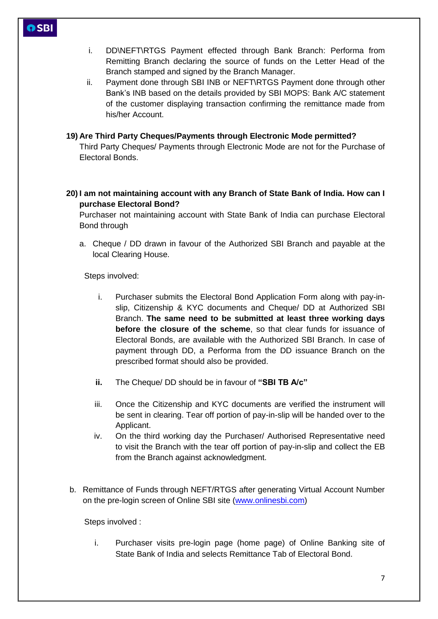- i. DD\NEFT\RTGS Payment effected through Bank Branch: Performa from Remitting Branch declaring the source of funds on the Letter Head of the Branch stamped and signed by the Branch Manager.
- ii. Payment done through SBI INB or NEFT\RTGS Payment done through other Bank's INB based on the details provided by SBI MOPS: Bank A/C statement of the customer displaying transaction confirming the remittance made from his/her Account.

#### **19) Are Third Party Cheques/Payments through Electronic Mode permitted?**

Third Party Cheques/ Payments through Electronic Mode are not for the Purchase of Electoral Bonds.

### **20) I am not maintaining account with any Branch of State Bank of India. How can I purchase Electoral Bond?**

Purchaser not maintaining account with State Bank of India can purchase Electoral Bond through

a. Cheque / DD drawn in favour of the Authorized SBI Branch and payable at the local Clearing House.

Steps involved:

- i. Purchaser submits the Electoral Bond Application Form along with pay-inslip, Citizenship & KYC documents and Cheque/ DD at Authorized SBI Branch. **The same need to be submitted at least three working days before the closure of the scheme**, so that clear funds for issuance of Electoral Bonds, are available with the Authorized SBI Branch. In case of payment through DD, a Performa from the DD issuance Branch on the prescribed format should also be provided.
- **ii.** The Cheque/ DD should be in favour of **"SBI TB A/c"**
- iii. Once the Citizenship and KYC documents are verified the instrument will be sent in clearing. Tear off portion of pay-in-slip will be handed over to the Applicant.
- iv. On the third working day the Purchaser/ Authorised Representative need to visit the Branch with the tear off portion of pay-in-slip and collect the EB from the Branch against acknowledgment.
- b. Remittance of Funds through NEFT/RTGS after generating Virtual Account Number on the pre-login screen of Online SBI site [\(www.onlinesbi.com\)](http://www.onlinesbi.com/)

Steps involved :

i. Purchaser visits pre-login page (home page) of Online Banking site of State Bank of India and selects Remittance Tab of Electoral Bond.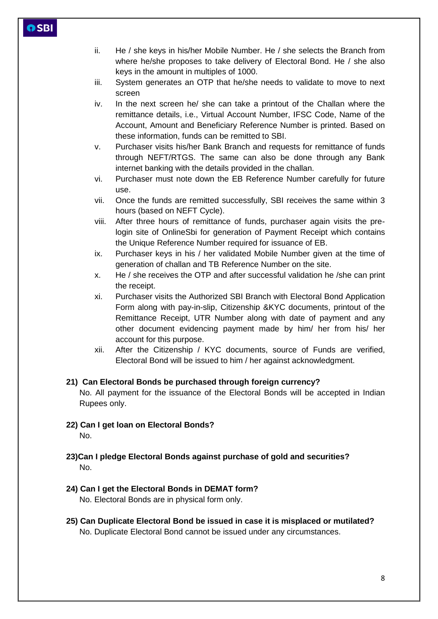- ii. He / she keys in his/her Mobile Number. He / she selects the Branch from where he/she proposes to take delivery of Electoral Bond. He / she also keys in the amount in multiples of 1000.
- iii. System generates an OTP that he/she needs to validate to move to next screen
- iv. In the next screen he/ she can take a printout of the Challan where the remittance details, i.e., Virtual Account Number, IFSC Code, Name of the Account, Amount and Beneficiary Reference Number is printed. Based on these information, funds can be remitted to SBI.
- v. Purchaser visits his/her Bank Branch and requests for remittance of funds through NEFT/RTGS. The same can also be done through any Bank internet banking with the details provided in the challan.
- vi. Purchaser must note down the EB Reference Number carefully for future use.
- vii. Once the funds are remitted successfully, SBI receives the same within 3 hours (based on NEFT Cycle).
- viii. After three hours of remittance of funds, purchaser again visits the prelogin site of OnlineSbi for generation of Payment Receipt which contains the Unique Reference Number required for issuance of EB.
- ix. Purchaser keys in his / her validated Mobile Number given at the time of generation of challan and TB Reference Number on the site.
- x. He / she receives the OTP and after successful validation he /she can print the receipt.
- xi. Purchaser visits the Authorized SBI Branch with Electoral Bond Application Form along with pay-in-slip, Citizenship &KYC documents, printout of the Remittance Receipt, UTR Number along with date of payment and any other document evidencing payment made by him/ her from his/ her account for this purpose.
- xii. After the Citizenship / KYC documents, source of Funds are verified, Electoral Bond will be issued to him / her against acknowledgment.

#### **21) Can Electoral Bonds be purchased through foreign currency?**

No. All payment for the issuance of the Electoral Bonds will be accepted in Indian Rupees only.

**22) Can I get loan on Electoral Bonds?**

No.

## **23)Can I pledge Electoral Bonds against purchase of gold and securities?** No.

#### **24) Can I get the Electoral Bonds in DEMAT form?**

No. Electoral Bonds are in physical form only.

**25) Can Duplicate Electoral Bond be issued in case it is misplaced or mutilated?** No. Duplicate Electoral Bond cannot be issued under any circumstances.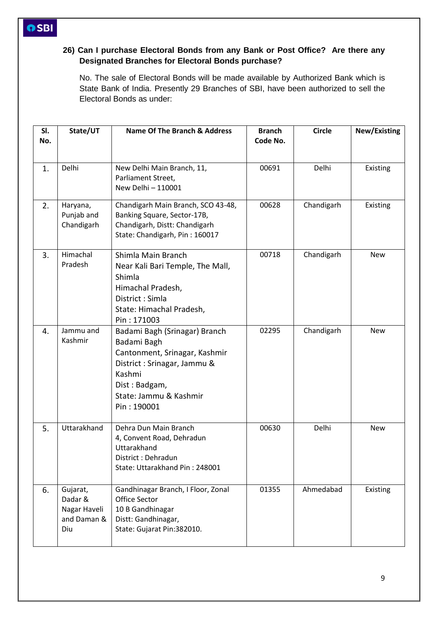## **26) Can I purchase Electoral Bonds from any Bank or Post Office? Are there any Designated Branches for Electoral Bonds purchase?**

No. The sale of Electoral Bonds will be made available by Authorized Bank which is State Bank of India. Presently 29 Branches of SBI, have been authorized to sell the Electoral Bonds as under:

| SI.<br>No. | State/UT                                                  | Name Of The Branch & Address                                                                                                                                                     | <b>Branch</b><br>Code No. | <b>Circle</b> | New/Existing |
|------------|-----------------------------------------------------------|----------------------------------------------------------------------------------------------------------------------------------------------------------------------------------|---------------------------|---------------|--------------|
| 1.         | Delhi                                                     | New Delhi Main Branch, 11,<br>Parliament Street,<br>New Delhi - 110001                                                                                                           | 00691                     | Delhi         | Existing     |
| 2.         | Haryana,<br>Punjab and<br>Chandigarh                      | Chandigarh Main Branch, SCO 43-48,<br>Banking Square, Sector-17B,<br>Chandigarh, Distt: Chandigarh<br>State: Chandigarh, Pin: 160017                                             | 00628                     | Chandigarh    | Existing     |
| 3.         | Himachal<br>Pradesh                                       | Shimla Main Branch<br>Near Kali Bari Temple, The Mall,<br>Shimla<br>Himachal Pradesh,<br>District: Simla<br>State: Himachal Pradesh,<br>Pin: 171003                              | 00718                     | Chandigarh    | New          |
| 4.         | Jammu and<br>Kashmir                                      | Badami Bagh (Srinagar) Branch<br>Badami Bagh<br>Cantonment, Srinagar, Kashmir<br>District: Srinagar, Jammu &<br>Kashmi<br>Dist: Badgam,<br>State: Jammu & Kashmir<br>Pin: 190001 | 02295                     | Chandigarh    | <b>New</b>   |
| 5.         | Uttarakhand                                               | Dehra Dun Main Branch<br>4, Convent Road, Dehradun<br>Uttarakhand<br>District: Dehradun<br>State: Uttarakhand Pin: 248001                                                        | 00630                     | Delhi         | <b>New</b>   |
| 6.         | Gujarat,<br>Dadar &<br>Nagar Haveli<br>and Daman &<br>Diu | Gandhinagar Branch, I Floor, Zonal<br>Office Sector<br>10 B Gandhinagar<br>Distt: Gandhinagar,<br>State: Gujarat Pin:382010.                                                     | 01355                     | Ahmedabad     | Existing     |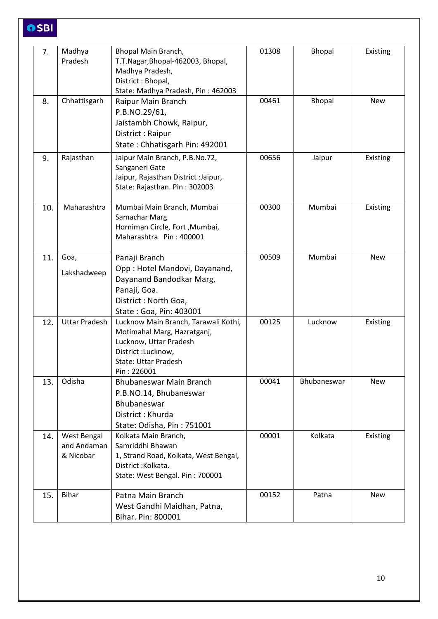| 7.  | Madhya<br>Pradesh                       | Bhopal Main Branch,<br>T.T.Nagar, Bhopal-462003, Bhopal,<br>Madhya Pradesh,<br>District: Bhopal,<br>State: Madhya Pradesh, Pin: 462003                             | 01308 | Bhopal             | Existing   |
|-----|-----------------------------------------|--------------------------------------------------------------------------------------------------------------------------------------------------------------------|-------|--------------------|------------|
| 8.  | Chhattisgarh                            | Raipur Main Branch<br>P.B.NO.29/61,<br>Jaistambh Chowk, Raipur,<br>District: Raipur<br>State: Chhatisgarh Pin: 492001                                              | 00461 | Bhopal             | <b>New</b> |
| 9.  | Rajasthan                               | Jaipur Main Branch, P.B.No.72,<br>Sanganeri Gate<br>Jaipur, Rajasthan District : Jaipur,<br>State: Rajasthan. Pin: 302003                                          | 00656 | Jaipur             | Existing   |
| 10. | Maharashtra                             | Mumbai Main Branch, Mumbai<br>Samachar Marg<br>Horniman Circle, Fort, Mumbai,<br>Maharashtra Pin: 400001                                                           | 00300 | Mumbai             | Existing   |
| 11. | Goa,<br>Lakshadweep                     | Panaji Branch<br>Opp: Hotel Mandovi, Dayanand,<br>Dayanand Bandodkar Marg,<br>Panaji, Goa.<br>District: North Goa,<br>State: Goa, Pin: 403001                      | 00509 | Mumbai             | <b>New</b> |
| 12. | <b>Uttar Pradesh</b>                    | Lucknow Main Branch, Tarawali Kothi,<br>Motimahal Marg, Hazratganj,<br>Lucknow, Uttar Pradesh<br>District : Lucknow,<br><b>State: Uttar Pradesh</b><br>Pin: 226001 | 00125 | Lucknow            | Existing   |
| 13. | Odisha                                  | Bhubaneswar Main Branch<br>P.B.NO.14, Bhubaneswar<br>Bhubaneswar<br>District: Khurda<br>State: Odisha, Pin: 751001                                                 | 00041 | <b>Bhubaneswar</b> | <b>New</b> |
| 14. | West Bengal<br>and Andaman<br>& Nicobar | Kolkata Main Branch,<br>Samriddhi Bhawan<br>1, Strand Road, Kolkata, West Bengal,<br>District : Kolkata.<br>State: West Bengal. Pin: 700001                        | 00001 | Kolkata            | Existing   |
| 15. | <b>Bihar</b>                            | Patna Main Branch<br>West Gandhi Maidhan, Patna,<br>Bihar. Pin: 800001                                                                                             | 00152 | Patna              | <b>New</b> |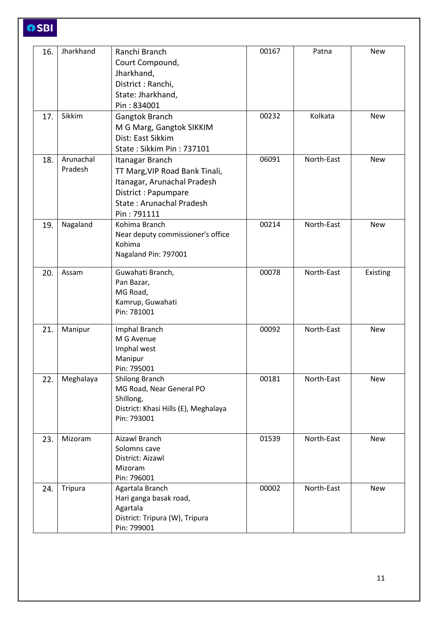| 16. | Jharkhand | Ranchi Branch                        | 00167 | Patna      | <b>New</b> |
|-----|-----------|--------------------------------------|-------|------------|------------|
|     |           | Court Compound,                      |       |            |            |
|     |           |                                      |       |            |            |
|     |           | Jharkhand,                           |       |            |            |
|     |           | District: Ranchi,                    |       |            |            |
|     |           | State: Jharkhand,                    |       |            |            |
|     |           | Pin: 834001                          |       |            |            |
| 17. | Sikkim    | Gangtok Branch                       | 00232 | Kolkata    | <b>New</b> |
|     |           | M G Marg, Gangtok SIKKIM             |       |            |            |
|     |           | Dist: East Sikkim                    |       |            |            |
|     |           | State: Sikkim Pin: 737101            |       |            |            |
| 18. | Arunachal | Itanagar Branch                      | 06091 | North-East | <b>New</b> |
|     | Pradesh   | TT Marg, VIP Road Bank Tinali,       |       |            |            |
|     |           | Itanagar, Arunachal Pradesh          |       |            |            |
|     |           | District: Papumpare                  |       |            |            |
|     |           | State: Arunachal Pradesh             |       |            |            |
|     |           | Pin: 791111                          |       |            |            |
| 19. | Nagaland  | Kohima Branch                        | 00214 | North-East | <b>New</b> |
|     |           | Near deputy commissioner's office    |       |            |            |
|     |           | Kohima                               |       |            |            |
|     |           | Nagaland Pin: 797001                 |       |            |            |
|     |           |                                      |       |            |            |
| 20. | Assam     | Guwahati Branch,                     | 00078 | North-East | Existing   |
|     |           | Pan Bazar,                           |       |            |            |
|     |           | MG Road,                             |       |            |            |
|     |           | Kamrup, Guwahati                     |       |            |            |
|     |           | Pin: 781001                          |       |            |            |
| 21. | Manipur   | Imphal Branch                        | 00092 | North-East | <b>New</b> |
|     |           | M G Avenue                           |       |            |            |
|     |           | Imphal west                          |       |            |            |
|     |           | Manipur                              |       |            |            |
|     |           | Pin: 795001                          |       |            |            |
| 22. | Meghalaya | Shilong Branch                       | 00181 | North-East | <b>New</b> |
|     |           | MG Road, Near General PO             |       |            |            |
|     |           | Shillong,                            |       |            |            |
|     |           | District: Khasi Hills (E), Meghalaya |       |            |            |
|     |           | Pin: 793001                          |       |            |            |
|     |           |                                      |       |            |            |
| 23. | Mizoram   | Aizawl Branch                        | 01539 | North-East | <b>New</b> |
|     |           | Solomns cave                         |       |            |            |
|     |           | District: Aizawl                     |       |            |            |
|     |           | Mizoram                              |       |            |            |
|     |           | Pin: 796001                          |       |            |            |
| 24. | Tripura   | Agartala Branch                      | 00002 | North-East | <b>New</b> |
|     |           | Hari ganga basak road,               |       |            |            |
|     |           | Agartala                             |       |            |            |
|     |           | District: Tripura (W), Tripura       |       |            |            |
|     |           | Pin: 799001                          |       |            |            |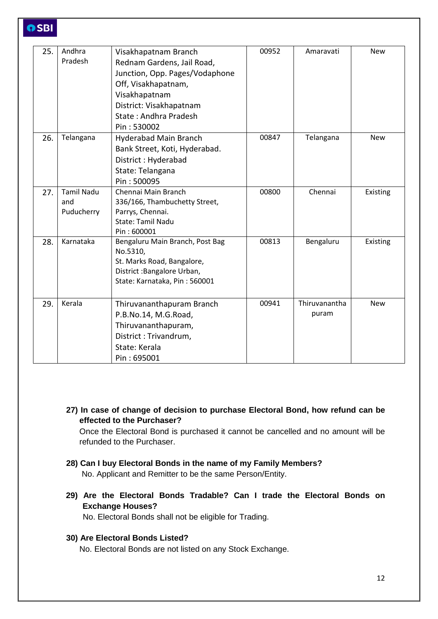| 25. | Andhra            | Visakhapatnam Branch            | 00952 | Amaravati     | <b>New</b> |
|-----|-------------------|---------------------------------|-------|---------------|------------|
|     | Pradesh           | Rednam Gardens, Jail Road,      |       |               |            |
|     |                   | Junction, Opp. Pages/Vodaphone  |       |               |            |
|     |                   | Off, Visakhapatnam,             |       |               |            |
|     |                   | Visakhapatnam                   |       |               |            |
|     |                   | District: Visakhapatnam         |       |               |            |
|     |                   | State: Andhra Pradesh           |       |               |            |
|     |                   | Pin: 530002                     |       |               |            |
| 26. | Telangana         | Hyderabad Main Branch           | 00847 | Telangana     | <b>New</b> |
|     |                   | Bank Street, Koti, Hyderabad.   |       |               |            |
|     |                   | District: Hyderabad             |       |               |            |
|     |                   | State: Telangana                |       |               |            |
|     |                   | Pin: 500095                     |       |               |            |
| 27. | <b>Tamil Nadu</b> | Chennai Main Branch             | 00800 | Chennai       | Existing   |
|     | and               | 336/166, Thambuchetty Street,   |       |               |            |
|     | Puducherry        | Parrys, Chennai.                |       |               |            |
|     |                   | <b>State: Tamil Nadu</b>        |       |               |            |
|     |                   | Pin: 600001                     |       |               |            |
| 28. | Karnataka         | Bengaluru Main Branch, Post Bag | 00813 | Bengaluru     | Existing   |
|     |                   | No.5310,                        |       |               |            |
|     |                   | St. Marks Road, Bangalore,      |       |               |            |
|     |                   | District : Bangalore Urban,     |       |               |            |
|     |                   | State: Karnataka, Pin: 560001   |       |               |            |
| 29. | Kerala            | Thiruvananthapuram Branch       | 00941 | Thiruvanantha | <b>New</b> |
|     |                   | P.B.No.14, M.G.Road,            |       | puram         |            |
|     |                   |                                 |       |               |            |
|     |                   | Thiruvananthapuram,             |       |               |            |
|     |                   | District: Trivandrum,           |       |               |            |
|     |                   | State: Kerala                   |       |               |            |
|     |                   | Pin: 695001                     |       |               |            |

**27) In case of change of decision to purchase Electoral Bond, how refund can be effected to the Purchaser?**

Once the Electoral Bond is purchased it cannot be cancelled and no amount will be refunded to the Purchaser.

**28) Can I buy Electoral Bonds in the name of my Family Members?**

No. Applicant and Remitter to be the same Person/Entity.

**29) Are the Electoral Bonds Tradable? Can I trade the Electoral Bonds on Exchange Houses?**

No. Electoral Bonds shall not be eligible for Trading.

## **30) Are Electoral Bonds Listed?**

No. Electoral Bonds are not listed on any Stock Exchange.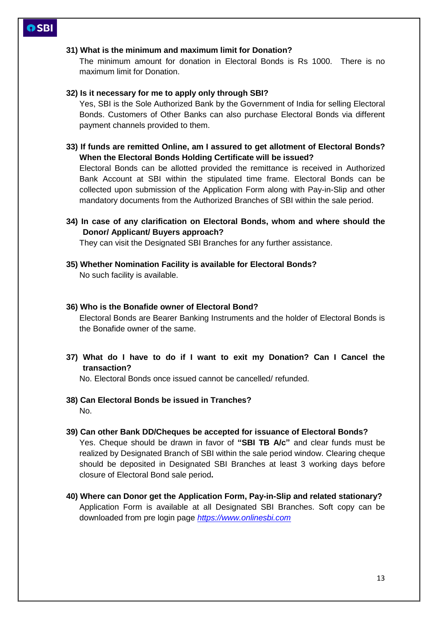#### **31) What is the minimum and maximum limit for Donation?**

The minimum amount for donation in Electoral Bonds is Rs 1000. There is no maximum limit for Donation.

#### **32) Is it necessary for me to apply only through SBI?**

Yes, SBI is the Sole Authorized Bank by the Government of India for selling Electoral Bonds. Customers of Other Banks can also purchase Electoral Bonds via different payment channels provided to them.

**33) If funds are remitted Online, am I assured to get allotment of Electoral Bonds? When the Electoral Bonds Holding Certificate will be issued?**

Electoral Bonds can be allotted provided the remittance is received in Authorized Bank Account at SBI within the stipulated time frame. Electoral Bonds can be collected upon submission of the Application Form along with Pay-in-Slip and other mandatory documents from the Authorized Branches of SBI within the sale period.

**34) In case of any clarification on Electoral Bonds, whom and where should the Donor/ Applicant/ Buyers approach?**

They can visit the Designated SBI Branches for any further assistance.

**35) Whether Nomination Facility is available for Electoral Bonds?** No such facility is available.

#### **36) Who is the Bonafide owner of Electoral Bond?**

Electoral Bonds are Bearer Banking Instruments and the holder of Electoral Bonds is the Bonafide owner of the same.

**37) What do I have to do if I want to exit my Donation? Can I Cancel the transaction?** 

No. Electoral Bonds once issued cannot be cancelled/ refunded.

**38) Can Electoral Bonds be issued in Tranches?** 

No.

**39) Can other Bank DD/Cheques be accepted for issuance of Electoral Bonds?**

Yes. Cheque should be drawn in favor of **"SBI TB A/c"** and clear funds must be realized by Designated Branch of SBI within the sale period window. Clearing cheque should be deposited in Designated SBI Branches at least 3 working days before closure of Electoral Bond sale period**.** 

**40) Where can Donor get the Application Form, Pay-in-Slip and related stationary?** Application Form is available at all Designated SBI Branches. Soft copy can be downloaded from pre login page *[https://www.onlinesbi.com](https://www.onlinesbi.com/)*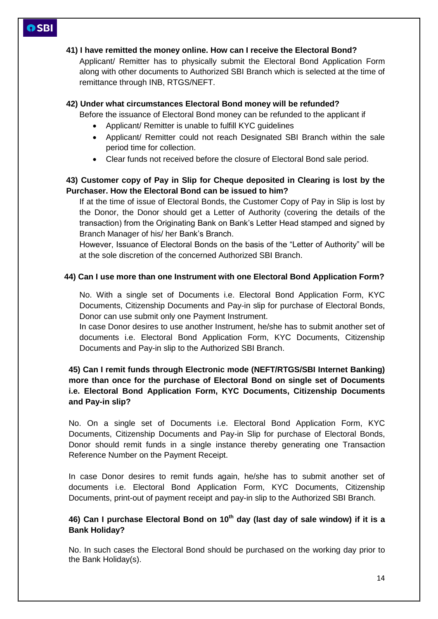#### **41) I have remitted the money online. How can I receive the Electoral Bond?**

Applicant/ Remitter has to physically submit the Electoral Bond Application Form along with other documents to Authorized SBI Branch which is selected at the time of remittance through INB, RTGS/NEFT.

#### **42) Under what circumstances Electoral Bond money will be refunded?**

Before the issuance of Electoral Bond money can be refunded to the applicant if

- Applicant/ Remitter is unable to fulfill KYC guidelines
- Applicant/ Remitter could not reach Designated SBI Branch within the sale period time for collection.
- Clear funds not received before the closure of Electoral Bond sale period.

## **43) Customer copy of Pay in Slip for Cheque deposited in Clearing is lost by the Purchaser. How the Electoral Bond can be issued to him?**

If at the time of issue of Electoral Bonds, the Customer Copy of Pay in Slip is lost by the Donor, the Donor should get a Letter of Authority (covering the details of the transaction) from the Originating Bank on Bank's Letter Head stamped and signed by Branch Manager of his/ her Bank's Branch.

However, Issuance of Electoral Bonds on the basis of the "Letter of Authority" will be at the sole discretion of the concerned Authorized SBI Branch.

### **44) Can I use more than one Instrument with one Electoral Bond Application Form?**

No. With a single set of Documents i.e. Electoral Bond Application Form, KYC Documents, Citizenship Documents and Pay-in slip for purchase of Electoral Bonds, Donor can use submit only one Payment Instrument.

In case Donor desires to use another Instrument, he/she has to submit another set of documents i.e. Electoral Bond Application Form, KYC Documents, Citizenship Documents and Pay-in slip to the Authorized SBI Branch.

## **45) Can I remit funds through Electronic mode (NEFT/RTGS/SBI Internet Banking) more than once for the purchase of Electoral Bond on single set of Documents i.e. Electoral Bond Application Form, KYC Documents, Citizenship Documents and Pay-in slip?**

No. On a single set of Documents i.e. Electoral Bond Application Form, KYC Documents, Citizenship Documents and Pay-in Slip for purchase of Electoral Bonds, Donor should remit funds in a single instance thereby generating one Transaction Reference Number on the Payment Receipt.

In case Donor desires to remit funds again, he/she has to submit another set of documents i.e. Electoral Bond Application Form, KYC Documents, Citizenship Documents, print-out of payment receipt and pay-in slip to the Authorized SBI Branch.

## **46) Can I purchase Electoral Bond on 10th day (last day of sale window) if it is a Bank Holiday?**

No. In such cases the Electoral Bond should be purchased on the working day prior to the Bank Holiday(s).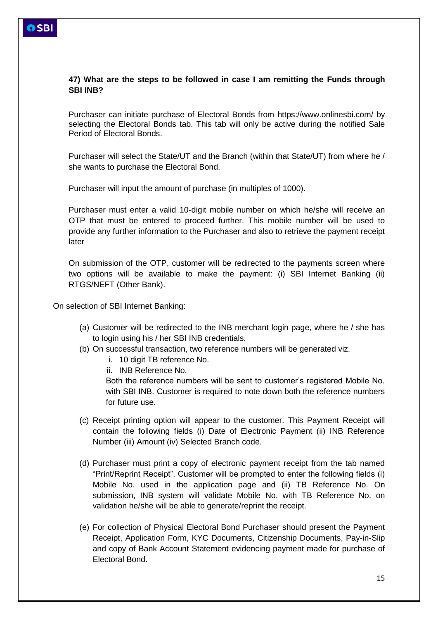#### **47) What are the steps to be followed in case I am remitting the Funds through SBI INB?**

Purchaser can initiate purchase of Electoral Bonds from<https://www.onlinesbi.com/> by selecting the Electoral Bonds tab. This tab will only be active during the notified Sale Period of Electoral Bonds.

Purchaser will select the State/UT and the Branch (within that State/UT) from where he / she wants to purchase the Electoral Bond.

Purchaser will input the amount of purchase (in multiples of 1000).

Purchaser must enter a valid 10-digit mobile number on which he/she will receive an OTP that must be entered to proceed further. This mobile number will be used to provide any further information to the Purchaser and also to retrieve the payment receipt later

On submission of the OTP, customer will be redirected to the payments screen where two options will be available to make the payment: (i) SBI Internet Banking (ii) RTGS/NEFT (Other Bank).

On selection of SBI Internet Banking:

- (a) Customer will be redirected to the INB merchant login page, where he / she has to login using his / her SBI INB credentials.
- (b) On successful transaction, two reference numbers will be generated viz.
	- i. 10 digit TB reference No.
	- ii. INB Reference No.

Both the reference numbers will be sent to customer's registered Mobile No. with SBI INB. Customer is required to note down both the reference numbers for future use.

- (c) Receipt printing option will appear to the customer. This Payment Receipt will contain the following fields (i) Date of Electronic Payment (ii) INB Reference Number (iii) Amount (iv) Selected Branch code.
- (d) Purchaser must print a copy of electronic payment receipt from the tab named "Print/Reprint Receipt". Customer will be prompted to enter the following fields (i) Mobile No. used in the application page and (ii) TB Reference No. On submission, INB system will validate Mobile No. with TB Reference No. on validation he/she will be able to generate/reprint the receipt.
- (e) For collection of Physical Electoral Bond Purchaser should present the Payment Receipt, Application Form, KYC Documents, Citizenship Documents, Pay-in-Slip and copy of Bank Account Statement evidencing payment made for purchase of Electoral Bond.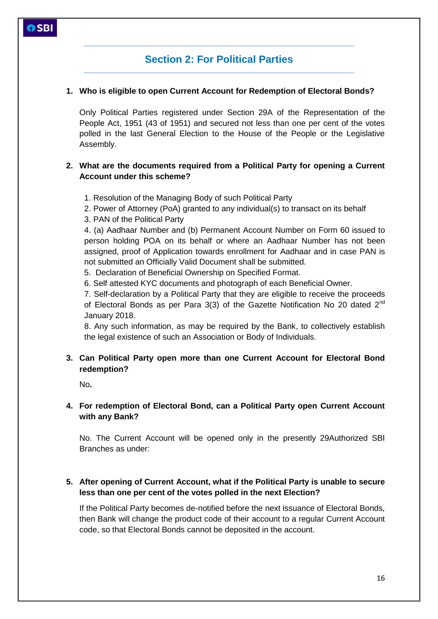## **Section 2: For Political Parties**

#### **1. Who is eligible to open Current Account for Redemption of Electoral Bonds?**

Only Political Parties registered under Section 29A of the Representation of the People Act, 1951 (43 of 1951) and secured not less than one per cent of the votes polled in the last General Election to the House of the People or the Legislative Assembly.

### **2. What are the documents required from a Political Party for opening a Current Account under this scheme?**

1. Resolution of the Managing Body of such Political Party

2. Power of Attorney (PoA) granted to any individual(s) to transact on its behalf

3. PAN of the Political Party

4. (a) Aadhaar Number and (b) Permanent Account Number on Form 60 issued to person holding POA on its behalf or where an Aadhaar Number has not been assigned, proof of Application towards enrollment for Aadhaar and in case PAN is not submitted an Officially Valid Document shall be submitted.

5. Declaration of Beneficial Ownership on Specified Format.

6. Self attested KYC documents and photograph of each Beneficial Owner.

7. Self-declaration by a Political Party that they are eligible to receive the proceeds of Electoral Bonds as per Para 3(3) of the Gazette Notification No 20 dated  $2^{nd}$ January 2018.

8. Any such information, as may be required by the Bank, to collectively establish the legal existence of such an Association or Body of Individuals.

## **3. Can Political Party open more than one Current Account for Electoral Bond redemption?**

No**.**

OSBI

### **4. For redemption of Electoral Bond, can a Political Party open Current Account with any Bank?**

No. The Current Account will be opened only in the presently 29Authorized SBI Branches as under:

## **5. After opening of Current Account, what if the Political Party is unable to secure less than one per cent of the votes polled in the next Election?**

If the Political Party becomes de-notified before the next issuance of Electoral Bonds, then Bank will change the product code of their account to a regular Current Account code, so that Electoral Bonds cannot be deposited in the account.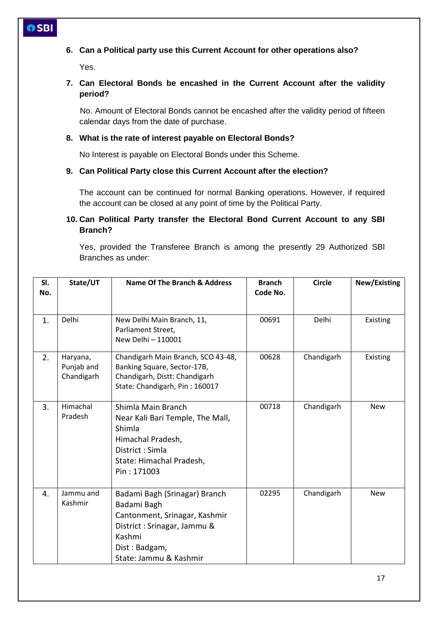## **6. Can a Political party use this Current Account for other operations also?**

Yes.

## **7. Can Electoral Bonds be encashed in the Current Account after the validity period?**

No. Amount of Electoral Bonds cannot be encashed after the validity period of fifteen calendar days from the date of purchase.

## **8. What is the rate of interest payable on Electoral Bonds?**

No Interest is payable on Electoral Bonds under this Scheme.

### **9. Can Political Party close this Current Account after the election?**

The account can be continued for normal Banking operations. However, if required the account can be closed at any point of time by the Political Party.

## **10. Can Political Party transfer the Electoral Bond Current Account to any SBI Branch?**

Yes, provided the Transferee Branch is among the presently 29 Authorized SBI Branches as under:

| SI.<br>No. | State/UT                             | <b>Name Of The Branch &amp; Address</b>                                                                                                                           | <b>Branch</b><br>Code No. | <b>Circle</b> | New/Existing |
|------------|--------------------------------------|-------------------------------------------------------------------------------------------------------------------------------------------------------------------|---------------------------|---------------|--------------|
| 1.         | Delhi                                | New Delhi Main Branch, 11,<br>Parliament Street,<br>New Delhi - 110001                                                                                            | 00691                     | Delhi         | Existing     |
| 2.         | Haryana,<br>Punjab and<br>Chandigarh | Chandigarh Main Branch, SCO 43-48,<br>Banking Square, Sector-17B,<br>Chandigarh, Distt: Chandigarh<br>State: Chandigarh, Pin: 160017                              | 00628                     | Chandigarh    | Existing     |
| 3.         | Himachal<br>Pradesh                  | Shimla Main Branch<br>Near Kali Bari Temple, The Mall,<br>Shimla<br>Himachal Pradesh,<br>District: Simla<br>State: Himachal Pradesh,<br>Pin: 171003               | 00718                     | Chandigarh    | <b>New</b>   |
| 4.         | Jammu and<br>Kashmir                 | Badami Bagh (Srinagar) Branch<br>Badami Bagh<br>Cantonment, Srinagar, Kashmir<br>District: Srinagar, Jammu &<br>Kashmi<br>Dist: Badgam,<br>State: Jammu & Kashmir | 02295                     | Chandigarh    | <b>New</b>   |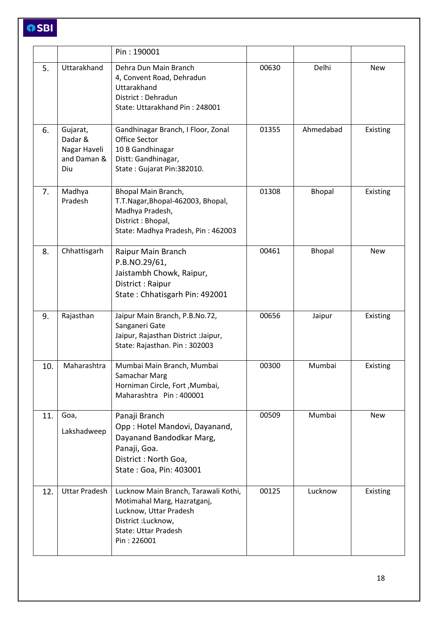|     |                                                           | Pin: 190001                                                                                                                                                        |       |           |            |
|-----|-----------------------------------------------------------|--------------------------------------------------------------------------------------------------------------------------------------------------------------------|-------|-----------|------------|
| 5.  | Uttarakhand                                               | Dehra Dun Main Branch<br>4, Convent Road, Dehradun<br>Uttarakhand<br>District: Dehradun<br>State: Uttarakhand Pin: 248001                                          | 00630 | Delhi     | <b>New</b> |
| 6.  | Gujarat,<br>Dadar &<br>Nagar Haveli<br>and Daman &<br>Diu | Gandhinagar Branch, I Floor, Zonal<br>Office Sector<br>10 B Gandhinagar<br>Distt: Gandhinagar,<br>State: Gujarat Pin:382010.                                       | 01355 | Ahmedabad | Existing   |
| 7.  | Madhya<br>Pradesh                                         | Bhopal Main Branch,<br>T.T.Nagar, Bhopal-462003, Bhopal,<br>Madhya Pradesh,<br>District: Bhopal,<br>State: Madhya Pradesh, Pin: 462003                             | 01308 | Bhopal    | Existing   |
| 8.  | Chhattisgarh                                              | Raipur Main Branch<br>P.B.NO.29/61,<br>Jaistambh Chowk, Raipur,<br>District: Raipur<br>State: Chhatisgarh Pin: 492001                                              | 00461 | Bhopal    | <b>New</b> |
| 9.  | Rajasthan                                                 | Jaipur Main Branch, P.B.No.72,<br>Sanganeri Gate<br>Jaipur, Rajasthan District : Jaipur,<br>State: Rajasthan. Pin: 302003                                          | 00656 | Jaipur    | Existing   |
| 10. | Maharashtra                                               | Mumbai Main Branch, Mumbai<br>Samachar Marg<br>Horniman Circle, Fort, Mumbai,<br>Maharashtra Pin: 400001                                                           | 00300 | Mumbai    | Existing   |
| 11. | Goa,<br>Lakshadweep                                       | Panaji Branch<br>Opp: Hotel Mandovi, Dayanand,<br>Dayanand Bandodkar Marg,<br>Panaji, Goa.<br>District : North Goa,<br>State: Goa, Pin: 403001                     | 00509 | Mumbai    | <b>New</b> |
| 12. | <b>Uttar Pradesh</b>                                      | Lucknow Main Branch, Tarawali Kothi,<br>Motimahal Marg, Hazratganj,<br>Lucknow, Uttar Pradesh<br>District : Lucknow,<br><b>State: Uttar Pradesh</b><br>Pin: 226001 | 00125 | Lucknow   | Existing   |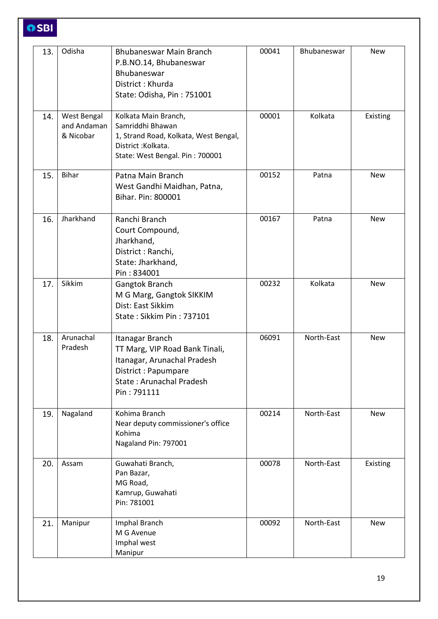| OSBI |                                                |                                                                                                                                                           |       |             |            |
|------|------------------------------------------------|-----------------------------------------------------------------------------------------------------------------------------------------------------------|-------|-------------|------------|
| 13.  | Odisha                                         | <b>Bhubaneswar Main Branch</b><br>P.B.NO.14, Bhubaneswar<br>Bhubaneswar<br>District: Khurda<br>State: Odisha, Pin: 751001                                 | 00041 | Bhubaneswar | <b>New</b> |
| 14.  | <b>West Bengal</b><br>and Andaman<br>& Nicobar | Kolkata Main Branch,<br>Samriddhi Bhawan<br>1, Strand Road, Kolkata, West Bengal,<br>District: Kolkata.<br>State: West Bengal. Pin: 700001                | 00001 | Kolkata     | Existing   |
| 15.  | <b>Bihar</b>                                   | Patna Main Branch<br>West Gandhi Maidhan, Patna,<br>Bihar, Pin: 800001                                                                                    | 00152 | Patna       | <b>New</b> |
| 16.  | Jharkhand                                      | Ranchi Branch<br>Court Compound,<br>Jharkhand,<br>District: Ranchi,<br>State: Jharkhand,<br>Pin: 834001                                                   | 00167 | Patna       | <b>New</b> |
| 17.  | Sikkim                                         | Gangtok Branch<br>M G Marg, Gangtok SIKKIM<br>Dist: East Sikkim<br>State: Sikkim Pin: 737101                                                              | 00232 | Kolkata     | <b>New</b> |
| 18.  | Arunachal<br>Pradesh                           | Itanagar Branch<br>TT Marg, VIP Road Bank Tinali,<br>Itanagar, Arunachal Pradesh<br>District: Papumpare<br><b>State: Arunachal Pradesh</b><br>Pin: 791111 | 06091 | North-East  | <b>New</b> |
| 19.  | Nagaland                                       | Kohima Branch<br>Near deputy commissioner's office<br>Kohima<br>Nagaland Pin: 797001                                                                      | 00214 | North-East  | <b>New</b> |
| 20.  | Assam                                          | Guwahati Branch,<br>Pan Bazar,<br>MG Road,<br>Kamrup, Guwahati<br>Pin: 781001                                                                             | 00078 | North-East  | Existing   |
| 21.  | Manipur                                        | Imphal Branch<br>M G Avenue<br>Imphal west<br>Manipur                                                                                                     | 00092 | North-East  | <b>New</b> |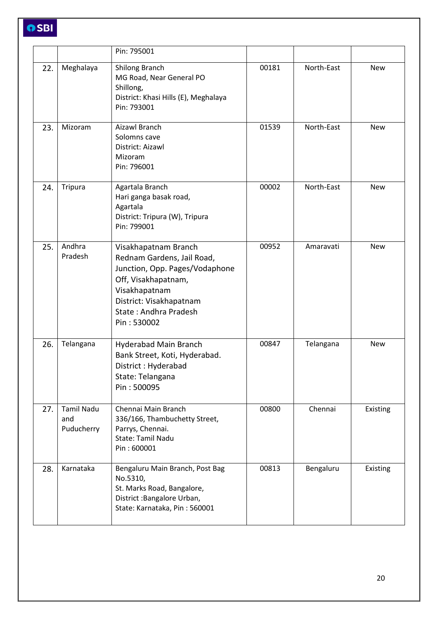|     |                                        | Pin: 795001                                                                                                                                                                                     |       |            |            |
|-----|----------------------------------------|-------------------------------------------------------------------------------------------------------------------------------------------------------------------------------------------------|-------|------------|------------|
| 22. | Meghalaya                              | Shilong Branch<br>MG Road, Near General PO<br>Shillong,<br>District: Khasi Hills (E), Meghalaya<br>Pin: 793001                                                                                  | 00181 | North-East | <b>New</b> |
| 23. | Mizoram                                | Aizawl Branch<br>Solomns cave<br>District: Aizawl<br>Mizoram<br>Pin: 796001                                                                                                                     | 01539 | North-East | <b>New</b> |
| 24. | Tripura                                | Agartala Branch<br>Hari ganga basak road,<br>Agartala<br>District: Tripura (W), Tripura<br>Pin: 799001                                                                                          | 00002 | North-East | <b>New</b> |
| 25. | Andhra<br>Pradesh                      | Visakhapatnam Branch<br>Rednam Gardens, Jail Road,<br>Junction, Opp. Pages/Vodaphone<br>Off, Visakhapatnam,<br>Visakhapatnam<br>District: Visakhapatnam<br>State: Andhra Pradesh<br>Pin: 530002 | 00952 | Amaravati  | <b>New</b> |
| 26. | Telangana                              | Hyderabad Main Branch<br>Bank Street, Koti, Hyderabad.<br>District: Hyderabad<br>State: Telangana<br>Pin: 500095                                                                                | 00847 | Telangana  | <b>New</b> |
| 27. | <b>Tamil Nadu</b><br>and<br>Puducherry | Chennai Main Branch<br>336/166, Thambuchetty Street,<br>Parrys, Chennai.<br>State: Tamil Nadu<br>Pin: 600001                                                                                    | 00800 | Chennai    | Existing   |
| 28. | Karnataka                              | Bengaluru Main Branch, Post Bag<br>No.5310,<br>St. Marks Road, Bangalore,<br>District : Bangalore Urban,<br>State: Karnataka, Pin: 560001                                                       | 00813 | Bengaluru  | Existing   |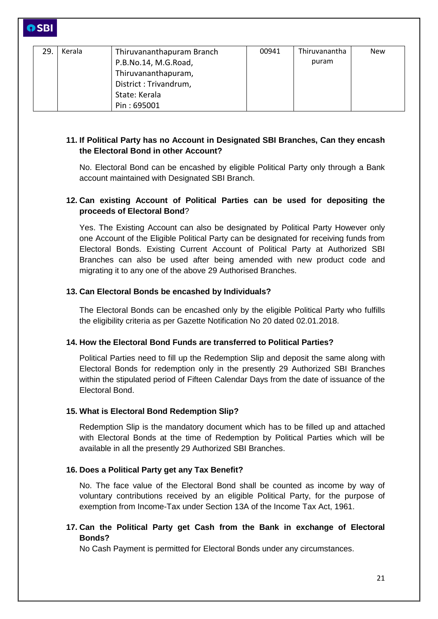|  | к |
|--|---|
|  |   |

| P.B.No.14, M.G.Road,<br>Thiruvananthapuram,           | puram |  |
|-------------------------------------------------------|-------|--|
| District: Trivandrum,<br>State: Kerala<br>Pin: 695001 |       |  |

## **11. If Political Party has no Account in Designated SBI Branches, Can they encash the Electoral Bond in other Account?**

No. Electoral Bond can be encashed by eligible Political Party only through a Bank account maintained with Designated SBI Branch.

## **12. Can existing Account of Political Parties can be used for depositing the proceeds of Electoral Bond**?

Yes. The Existing Account can also be designated by Political Party However only one Account of the Eligible Political Party can be designated for receiving funds from Electoral Bonds. Existing Current Account of Political Party at Authorized SBI Branches can also be used after being amended with new product code and migrating it to any one of the above 29 Authorised Branches.

### **13. Can Electoral Bonds be encashed by Individuals?**

The Electoral Bonds can be encashed only by the eligible Political Party who fulfills the eligibility criteria as per Gazette Notification No 20 dated 02.01.2018.

#### **14. How the Electoral Bond Funds are transferred to Political Parties?**

Political Parties need to fill up the Redemption Slip and deposit the same along with Electoral Bonds for redemption only in the presently 29 Authorized SBI Branches within the stipulated period of Fifteen Calendar Days from the date of issuance of the Electoral Bond.

#### **15. What is Electoral Bond Redemption Slip?**

Redemption Slip is the mandatory document which has to be filled up and attached with Electoral Bonds at the time of Redemption by Political Parties which will be available in all the presently 29 Authorized SBI Branches.

#### **16. Does a Political Party get any Tax Benefit?**

No. The face value of the Electoral Bond shall be counted as income by way of voluntary contributions received by an eligible Political Party, for the purpose of exemption from Income-Tax under Section 13A of the Income Tax Act, 1961.

## **17. Can the Political Party get Cash from the Bank in exchange of Electoral Bonds?**

No Cash Payment is permitted for Electoral Bonds under any circumstances.